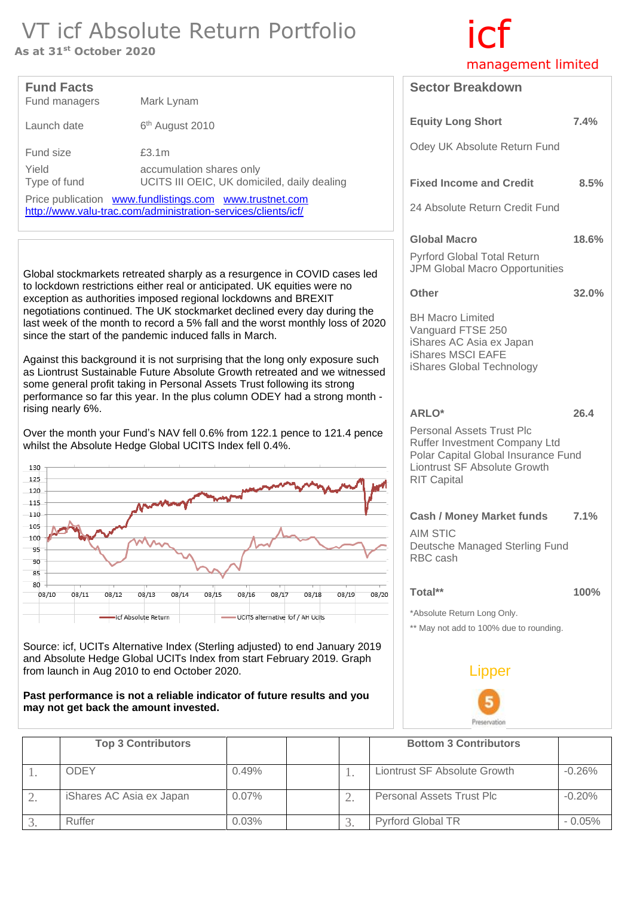## VT icf Absolute Return Portfolio<br>As at 31<sup>st</sup> October 2020

As at 31st October 2020

| <b>Fund Facts</b><br>Fund managers                                                                                       | Mark Lynam                                                                       |  |
|--------------------------------------------------------------------------------------------------------------------------|----------------------------------------------------------------------------------|--|
| Launch date                                                                                                              | 6 <sup>th</sup> August 2010                                                      |  |
| Fund size<br>Yield<br>Type of fund                                                                                       | £3.1m<br>accumulation shares only<br>UCITS III OEIC, UK domiciled, daily dealing |  |
| Price publication www.fundlistings.com www.trustnet.com<br>http://www.valu-trac.com/administration-services/clients/icf/ |                                                                                  |  |

Global stockmarkets retreated sharply as a resurgence in COVID cases led to lockdown restrictions either real or anticipated. UK equities were no exception as authorities imposed regional lockdowns and BREXIT negotiations continued. The UK stockmarket declined every day during the last week of the month to record a 5% fall and the worst monthly loss of 2020 since the start of the pandemic induced falls in March.

Against this background it is not surprising that the long only exposure such as Liontrust Sustainable Future Absolute Growth retreated and we witnessed some general profit taking in Personal Assets Trust following its strong performance so far this year. In the plus column ODEY had a strong month rising nearly 6%.

Over the month your Fund's NAV fell 0.6% from 122.1 pence to 121.4 pence whilst the Absolute Hedge Global UCITS Index fell 0.4%.



Source: icf, UCITs Alternative Index (Sterling adjusted) to end January 2019 and Absolute Hedge Global UCITs Index from start February 2019. Graph from launch in Aug 2010 to end October 2020.

#### **Past performance is not a reliable indicator of future results and you may not get back the amount invested.**

| <b>Top 3 Contributors</b> |          |  | <b>Bottom 3 Contributors</b> |          |
|---------------------------|----------|--|------------------------------|----------|
| <b>ODEY</b>               | 0.49%    |  | Liontrust SF Absolute Growth | $-0.26%$ |
| iShares AC Asia ex Japan  | $0.07\%$ |  | Personal Assets Trust Plc    | $-0.20%$ |
| Ruffer                    | 0.03%    |  | <b>Pyrford Global TR</b>     | $-0.05%$ |

# management limited

| <b>Sector Breakdown</b>                                                                                                                                                               |       |
|---------------------------------------------------------------------------------------------------------------------------------------------------------------------------------------|-------|
| <b>Equity Long Short</b>                                                                                                                                                              | 7.4%  |
| Odey UK Absolute Return Fund                                                                                                                                                          |       |
| <b>Fixed Income and Credit</b>                                                                                                                                                        | 8.5%  |
| 24 Absolute Return Credit Fund                                                                                                                                                        |       |
| <b>Global Macro</b><br>Pyrford Global Total Return<br><b>JPM Global Macro Opportunities</b>                                                                                           | 18.6% |
| <b>Other</b>                                                                                                                                                                          | 32.0% |
| <b>BH Macro Limited</b><br>Vanguard FTSE 250<br>iShares AC Asia ex Japan<br>iShares MSCI EAFE<br>iShares Global Technology                                                            |       |
| <b>ARLO*</b><br><b>Personal Assets Trust Plc</b><br>Ruffer Investment Company Ltd<br>Polar Capital Global Insurance Fund<br><b>Liontrust SF Absolute Growth</b><br><b>RIT Capital</b> | 26.4  |
| <b>Cash / Money Market funds</b><br><b>AIM STIC</b><br>Deutsche Managed Sterling Fund<br>RBC cash                                                                                     | 7.1%  |
| Total**<br>*Absolute Return Long Only.<br>** May not add to 100% due to rounding.                                                                                                     | 100%  |
| Lipper                                                                                                                                                                                |       |
|                                                                                                                                                                                       |       |

Preservation